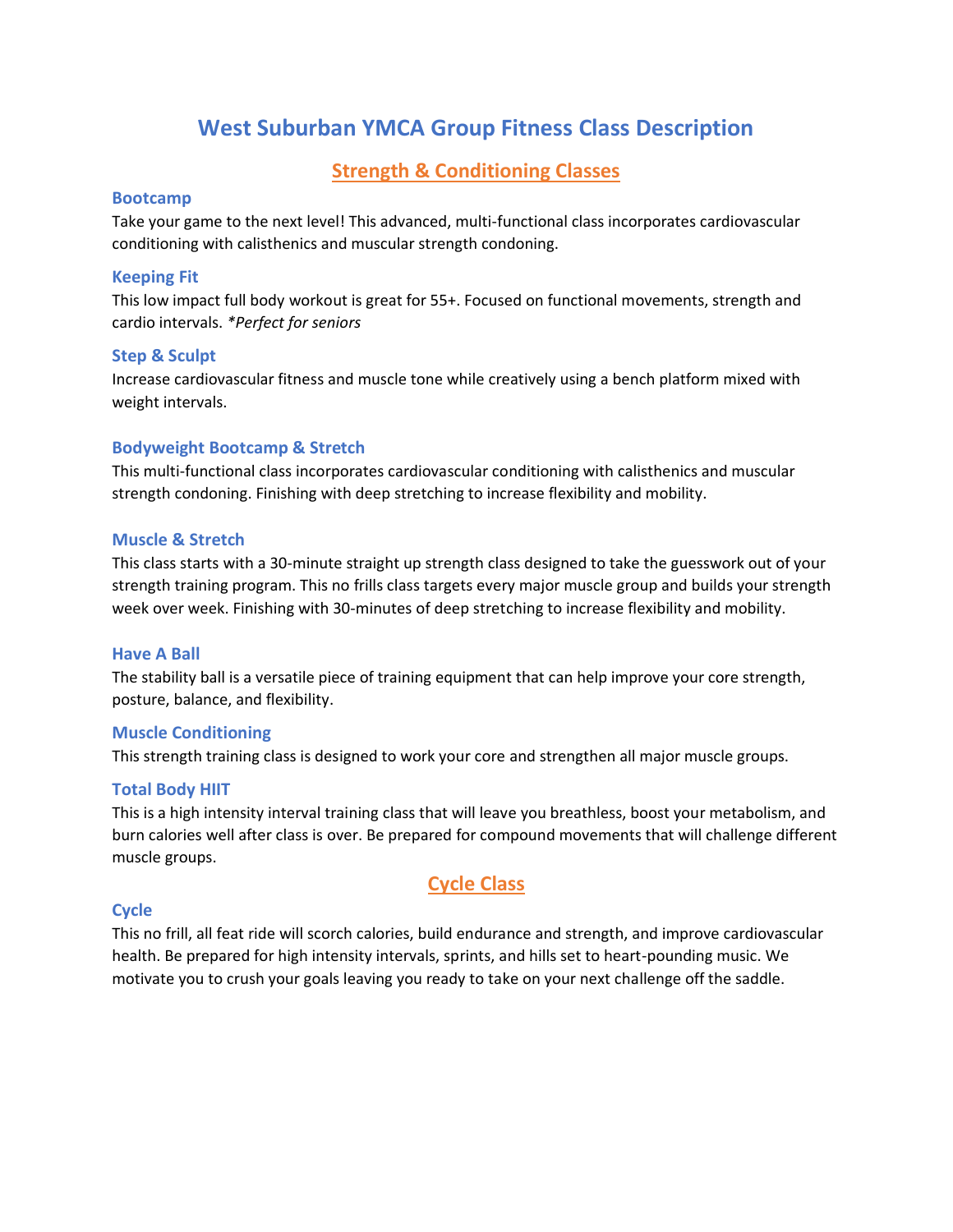# **West Suburban YMCA Group Fitness Class Description**

## **Strength & Conditioning Classes**

#### **Bootcamp**

Take your game to the next level! This advanced, multi-functional class incorporates cardiovascular conditioning with calisthenics and muscular strength condoning.

## **Keeping Fit**

This low impact full body workout is great for 55+. Focused on functional movements, strength and cardio intervals. *\*Perfect for seniors*

## **Step & Sculpt**

Increase cardiovascular fitness and muscle tone while creatively using a bench platform mixed with weight intervals.

## **Bodyweight Bootcamp & Stretch**

This multi-functional class incorporates cardiovascular conditioning with calisthenics and muscular strength condoning. Finishing with deep stretching to increase flexibility and mobility.

## **Muscle & Stretch**

This class starts with a 30-minute straight up strength class designed to take the guesswork out of your strength training program. This no frills class targets every major muscle group and builds your strength week over week. Finishing with 30-minutes of deep stretching to increase flexibility and mobility.

## **Have A Ball**

The stability ball is a versatile piece of training equipment that can help improve your core strength, posture, balance, and flexibility.

## **Muscle Conditioning**

This strength training class is designed to work your core and strengthen all major muscle groups.

## **Total Body HIIT**

This is a high intensity interval training class that will leave you breathless, boost your metabolism, and burn calories well after class is over. Be prepared for compound movements that will challenge different muscle groups.

## **Cycle Class**

## **Cycle**

This no frill, all feat ride will scorch calories, build endurance and strength, and improve cardiovascular health. Be prepared for high intensity intervals, sprints, and hills set to heart-pounding music. We motivate you to crush your goals leaving you ready to take on your next challenge off the saddle.